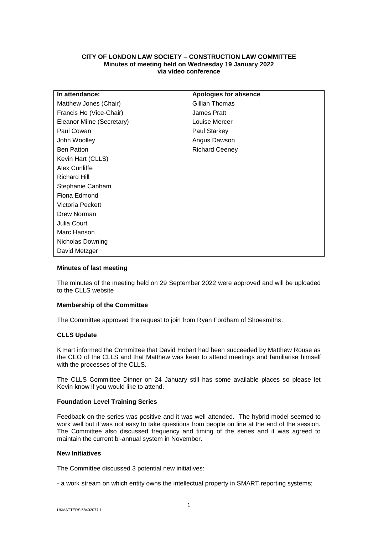# **CITY OF LONDON LAW SOCIETY – CONSTRUCTION LAW COMMITTEE Minutes of meeting held on Wednesday 19 January 2022 via video conference**

| In attendance:            | Apologies for absence |
|---------------------------|-----------------------|
| Matthew Jones (Chair)     | Gillian Thomas        |
| Francis Ho (Vice-Chair)   | James Pratt           |
| Eleanor Milne (Secretary) | Louise Mercer         |
| Paul Cowan                | Paul Starkey          |
| John Woolley              | Angus Dawson          |
| <b>Ben Patton</b>         | <b>Richard Ceeney</b> |
| Kevin Hart (CLLS)         |                       |
| Alex Cunliffe             |                       |
| <b>Richard Hill</b>       |                       |
| Stephanie Canham          |                       |
| Fiona Edmond              |                       |
| Victoria Peckett          |                       |
| Drew Norman               |                       |
| Julia Court               |                       |
| Marc Hanson               |                       |
| Nicholas Downing          |                       |
| David Metzger             |                       |

# **Minutes of last meeting**

The minutes of the meeting held on 29 September 2022 were approved and will be uploaded to the CLLS website

## **Membership of the Committee**

The Committee approved the request to join from Ryan Fordham of Shoesmiths.

### **CLLS Update**

K Hart informed the Committee that David Hobart had been succeeded by Matthew Rouse as the CEO of the CLLS and that Matthew was keen to attend meetings and familiarise himself with the processes of the CLLS.

The CLLS Committee Dinner on 24 January still has some available places so please let Kevin know if you would like to attend.

#### **Foundation Level Training Series**

Feedback on the series was positive and it was well attended. The hybrid model seemed to work well but it was not easy to take questions from people on line at the end of the session. The Committee also discussed frequency and timing of the series and it was agreed to maintain the current bi-annual system in November.

#### **New Initiatives**

The Committee discussed 3 potential new initiatives:

- a work stream on which entity owns the intellectual property in SMART reporting systems;